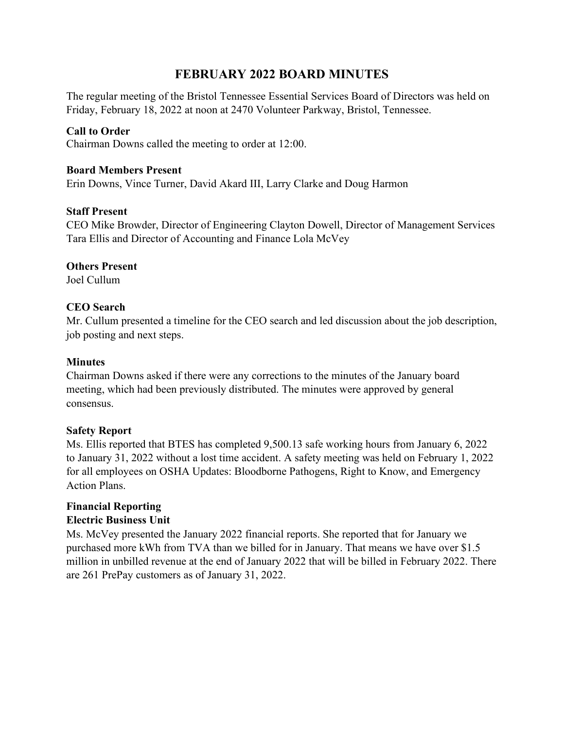# **FEBRUARY 2022 BOARD MINUTES**

The regular meeting of the Bristol Tennessee Essential Services Board of Directors was held on Friday, February 18, 2022 at noon at 2470 Volunteer Parkway, Bristol, Tennessee.

#### **Call to Order**

Chairman Downs called the meeting to order at 12:00.

#### **Board Members Present**

Erin Downs, Vince Turner, David Akard III, Larry Clarke and Doug Harmon

#### **Staff Present**

CEO Mike Browder, Director of Engineering Clayton Dowell, Director of Management Services Tara Ellis and Director of Accounting and Finance Lola McVey

#### **Others Present**

Joel Cullum

# **CEO Search**

Mr. Cullum presented a timeline for the CEO search and led discussion about the job description, job posting and next steps.

#### **Minutes**

Chairman Downs asked if there were any corrections to the minutes of the January board meeting, which had been previously distributed. The minutes were approved by general consensus.

#### **Safety Report**

Ms. Ellis reported that BTES has completed 9,500.13 safe working hours from January 6, 2022 to January 31, 2022 without a lost time accident. A safety meeting was held on February 1, 2022 for all employees on OSHA Updates: Bloodborne Pathogens, Right to Know, and Emergency Action Plans.

#### **Financial Reporting Electric Business Unit**

Ms. McVey presented the January 2022 financial reports. She reported that for January we purchased more kWh from TVA than we billed for in January. That means we have over \$1.5 million in unbilled revenue at the end of January 2022 that will be billed in February 2022. There are 261 PrePay customers as of January 31, 2022.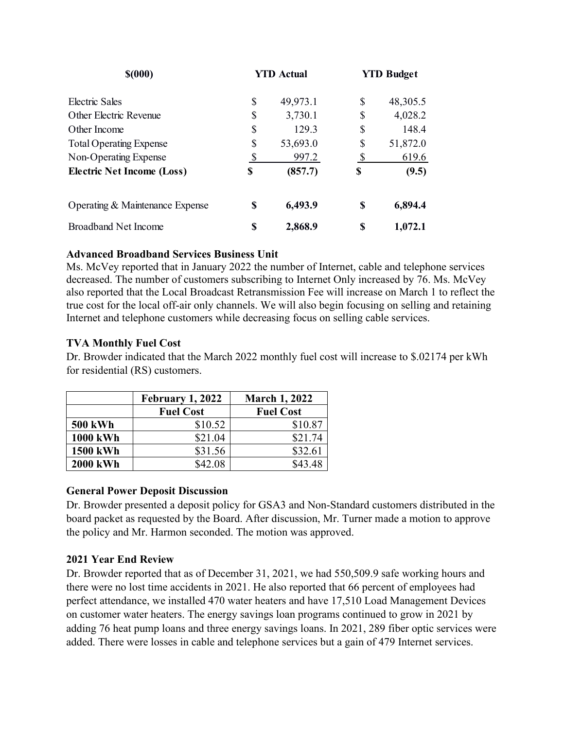| \$(000)                           |    | <b>YTD Actual</b> |    | <b>YTD Budget</b> |
|-----------------------------------|----|-------------------|----|-------------------|
| Electric Sales                    | \$ | 49,973.1          | S  | 48,305.5          |
| Other Electric Revenue            | \$ | 3,730.1           | S  | 4,028.2           |
| Other Income                      | \$ | 129.3             | \$ | 148.4             |
| <b>Total Operating Expense</b>    | \$ | 53,693.0          | S  | 51,872.0          |
| Non-Operating Expense             | \$ | 997.2             | \$ | 619.6             |
| <b>Electric Net Income (Loss)</b> | \$ | (857.7)           | \$ | (9.5)             |
| Operating & Maintenance Expense   | S  | 6,493.9           | S  | 6,894.4           |
| Broadband Net Income              | \$ | 2,868.9           | S  | 1,072.1           |

# **Advanced Broadband Services Business Unit**

Ms. McVey reported that in January 2022 the number of Internet, cable and telephone services decreased. The number of customers subscribing to Internet Only increased by 76. Ms. McVey also reported that the Local Broadcast Retransmission Fee will increase on March 1 to reflect the true cost for the local off-air only channels. We will also begin focusing on selling and retaining Internet and telephone customers while decreasing focus on selling cable services.

# **TVA Monthly Fuel Cost**

Dr. Browder indicated that the March 2022 monthly fuel cost will increase to \$.02174 per kWh for residential (RS) customers.

|                 | February 1, 2022 | <b>March 1, 2022</b> |  |
|-----------------|------------------|----------------------|--|
|                 | <b>Fuel Cost</b> | <b>Fuel Cost</b>     |  |
| <b>500 kWh</b>  | \$10.52          | \$10.87              |  |
| <b>1000 kWh</b> | \$21.04          | \$21.74              |  |
| 1500 kWh        | \$31.56          | \$32.61              |  |
| <b>2000 kWh</b> | \$42.08          | \$43.48              |  |

#### **General Power Deposit Discussion**

Dr. Browder presented a deposit policy for GSA3 and Non-Standard customers distributed in the board packet as requested by the Board. After discussion, Mr. Turner made a motion to approve the policy and Mr. Harmon seconded. The motion was approved.

#### **2021 Year End Review**

Dr. Browder reported that as of December 31, 2021, we had 550,509.9 safe working hours and there were no lost time accidents in 2021. He also reported that 66 percent of employees had perfect attendance, we installed 470 water heaters and have 17,510 Load Management Devices on customer water heaters. The energy savings loan programs continued to grow in 2021 by adding 76 heat pump loans and three energy savings loans. In 2021, 289 fiber optic services were added. There were losses in cable and telephone services but a gain of 479 Internet services.